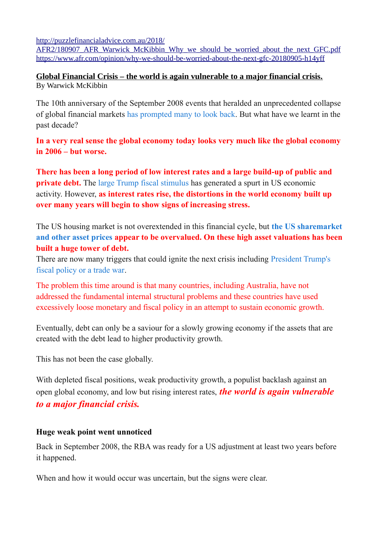[http://puzzlefinancialadvice.com.au/2018/](http://puzzlefinancialadvice.com.au/2018/AFR2/180907_AFR_Warwick_McKibbin_Why_we_should_be_worried_about_the_next_GFC.pdf)

AFR2/180907 AFR\_Warwick\_McKibbin\_Why\_we\_should\_be\_worried\_about\_the\_next\_GFC.pdf <https://www.afr.com/opinion/why-we-should-be-worried-about-the-next-gfc-20180905-h14yff>

## **Global Financial Crisis – the world is again vulnerable to a major financial crisis.** By Warwick McKibbin

The 10th anniversary of the September 2008 events that heralded an unprecedented collapse of global financial markets [has prompted many to look back.](http://afr.com/x/h14v38) But what have we learnt in the past decade?

**In a very real sense the global economy today looks very much like the global economy in 2006 – but worse.**

**There has been a long period of low interest rates and a large build-up of public and private debt.** The [large Trump fiscal stimulus](https://www.afr.com/news/world/north-america/donald-trump-unveils-huge-tax-cuts-in-farreaching-fiscal-overhaul-20170927-gypmz9) has generated a spurt in US economic activity. However, **as interest rates rise, the distortions in the world economy built up over many years will begin to show signs of increasing stress.**

The US housing market is not overextended in this financial cycle, but **[the US sharemarket](https://www.afr.com/personal-finance/shares/us-shares-have-further-to-fall-20180208-h0vsja) [and other asset prices](https://www.afr.com/personal-finance/shares/us-shares-have-further-to-fall-20180208-h0vsja) appear to be overvalued. On these high asset valuations has been built a huge tower of debt.**

There are now many triggers that could ignite the next crisis including [President Trump's](https://www.afr.com/opinion/columnists/this-trade-war-could-end-in-a-trump-slump-by-2020-20180723-h1321c)  [fiscal policy or a trade war.](https://www.afr.com/opinion/columnists/this-trade-war-could-end-in-a-trump-slump-by-2020-20180723-h1321c)

The problem this time around is that many countries, including Australia, have not addressed the fundamental internal structural problems and these countries have used excessively loose monetary and fiscal policy in an attempt to sustain economic growth.

Eventually, debt can only be a saviour for a slowly growing economy if the assets that are created with the debt lead to higher productivity growth.

This has not been the case globally.

With depleted fiscal positions, weak productivity growth, a populist backlash against an open global economy, and low but rising interest rates, *the world is again vulnerable to a major financial crisis.*

## **Huge weak point went unnoticed**

Back in September 2008, the RBA was ready for a US adjustment at least two years before it happened.

When and how it would occur was uncertain, but the signs were clear.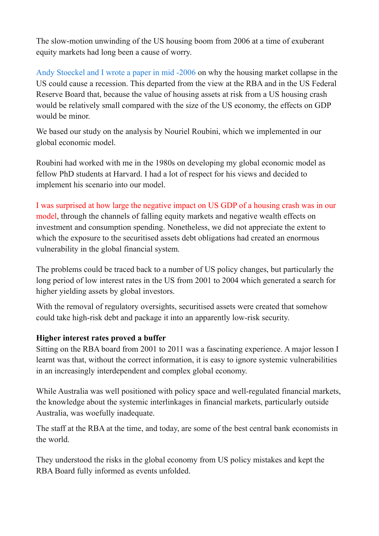The slow-motion unwinding of the US housing boom from 2006 at a time of exuberant equity markets had long been a cause of worry.

[Andy Stoeckel and I wrote a paper in mid -2006](http://www.economicscenarios.com/files/issue14.pdf) on why the housing market collapse in the US could cause a recession. This departed from the view at the RBA and in the US Federal Reserve Board that, because the value of housing assets at risk from a US housing crash would be relatively small compared with the size of the US economy, the effects on GDP would be minor.

We based our study on the analysis by Nouriel Roubini, which we implemented in our global economic model.

Roubini had worked with me in the 1980s on developing my global economic model as fellow PhD students at Harvard. I had a lot of respect for his views and decided to implement his scenario into our model.

## I was surprised at how large the negative impact on US GDP of a housing crash was in our model, through the channels of falling equity markets and negative wealth effects on investment and consumption spending. Nonetheless, we did not appreciate the extent to which the exposure to the securitised assets debt obligations had created an enormous vulnerability in the global financial system.

The problems could be traced back to a number of US policy changes, but particularly the long period of low interest rates in the US from 2001 to 2004 which generated a search for higher yielding assets by global investors.

With the removal of regulatory oversights, securitised assets were created that somehow could take high-risk debt and package it into an apparently low-risk security.

## **Higher interest rates proved a buffer**

Sitting on the RBA board from 2001 to 2011 was a fascinating experience. A major lesson I learnt was that, without the correct information, it is easy to ignore systemic vulnerabilities in an increasingly interdependent and complex global economy.

While Australia was well positioned with policy space and well-regulated financial markets, the knowledge about the systemic interlinkages in financial markets, particularly outside Australia, was woefully inadequate.

The staff at the RBA at the time, and today, are some of the best central bank economists in the world.

They understood the risks in the global economy from US policy mistakes and kept the RBA Board fully informed as events unfolded.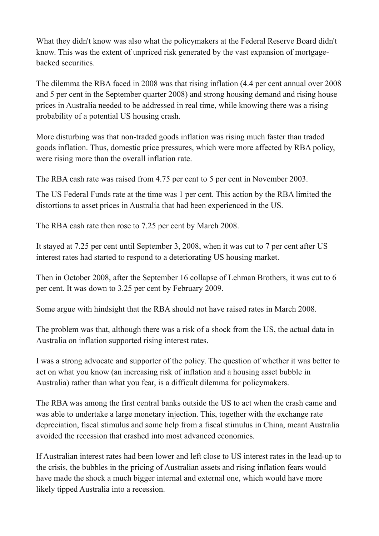What they didn't know was also what the policymakers at the Federal Reserve Board didn't know. This was the extent of unpriced risk generated by the vast expansion of mortgagebacked securities.

The dilemma the RBA faced in 2008 was that rising inflation (4.4 per cent annual over 2008 and 5 per cent in the September quarter 2008) and strong housing demand and rising house prices in Australia needed to be addressed in real time, while knowing there was a rising probability of a potential US housing crash.

More disturbing was that non-traded goods inflation was rising much faster than traded goods inflation. Thus, domestic price pressures, which were more affected by RBA policy, were rising more than the overall inflation rate.

The RBA cash rate was raised from 4.75 per cent to 5 per cent in November 2003.

The US Federal Funds rate at the time was 1 per cent. This action by the RBA limited the distortions to asset prices in Australia that had been experienced in the US.

The RBA cash rate then rose to 7.25 per cent by March 2008.

It stayed at 7.25 per cent until September 3, 2008, when it was cut to 7 per cent after US interest rates had started to respond to a deteriorating US housing market.

Then in October 2008, after the September 16 collapse of Lehman Brothers, it was cut to 6 per cent. It was down to 3.25 per cent by February 2009.

Some argue with hindsight that the RBA should not have raised rates in March 2008.

The problem was that, although there was a risk of a shock from the US, the actual data in Australia on inflation supported rising interest rates.

I was a strong advocate and supporter of the policy. The question of whether it was better to act on what you know (an increasing risk of inflation and a housing asset bubble in Australia) rather than what you fear, is a difficult dilemma for policymakers.

The RBA was among the first central banks outside the US to act when the crash came and was able to undertake a large monetary injection. This, together with the exchange rate depreciation, fiscal stimulus and some help from a fiscal stimulus in China, meant Australia avoided the recession that crashed into most advanced economies.

If Australian interest rates had been lower and left close to US interest rates in the lead-up to the crisis, the bubbles in the pricing of Australian assets and rising inflation fears would have made the shock a much bigger internal and external one, which would have more likely tipped Australia into a recession.